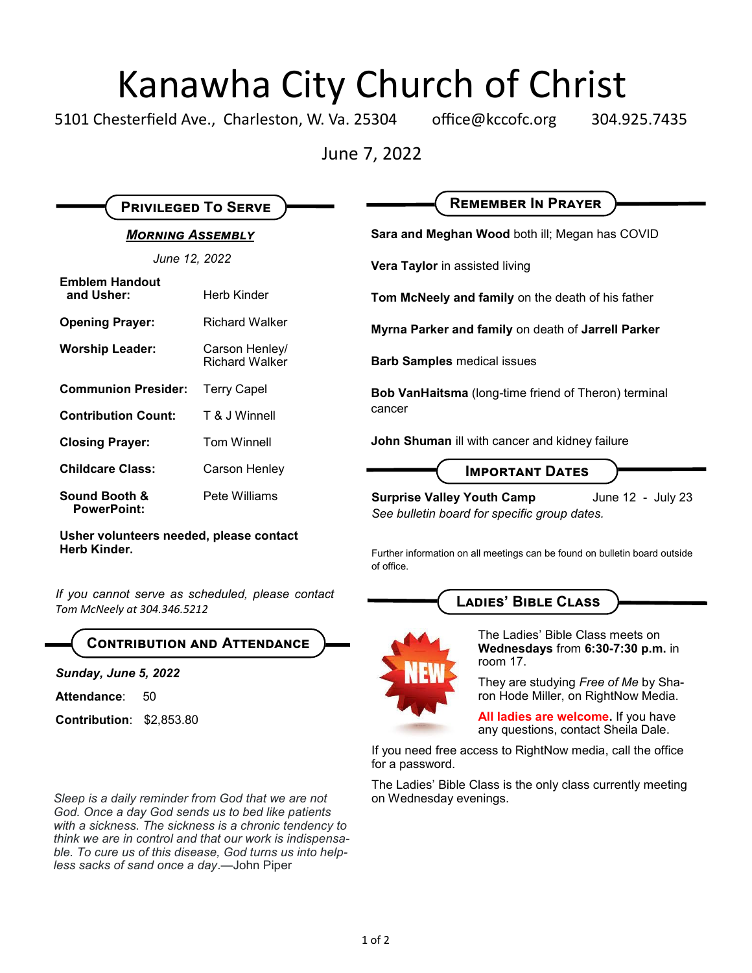## Kanawha City Church of Christ

5101 Chesterfield Ave., Charleston, W. Va. 25304 office@kccofc.org 304.925.7435

June 7, 2022

| <b>PRIVILEGED TO SERVE</b>                              |                                         | <b>REMEMBER IN PRAYER</b>                                                                              |
|---------------------------------------------------------|-----------------------------------------|--------------------------------------------------------------------------------------------------------|
| <b>MORNING ASSEMBLY</b>                                 |                                         | Sara and Meghan Wood both ill; Megan has COVID                                                         |
| June 12, 2022                                           |                                         | Vera Taylor in assisted living                                                                         |
| <b>Emblem Handout</b><br>and Usher:                     | Herb Kinder                             | Tom McNeely and family on the death of his father                                                      |
| <b>Opening Prayer:</b>                                  | <b>Richard Walker</b>                   | Myrna Parker and family on death of Jarrell Parker                                                     |
| <b>Worship Leader:</b>                                  | Carson Henley/<br><b>Richard Walker</b> | <b>Barb Samples medical issues</b>                                                                     |
| <b>Communion Presider:</b>                              | <b>Terry Capel</b>                      | <b>Bob VanHaitsma</b> (long-time friend of Theron) terminal<br>cancer                                  |
| <b>Contribution Count:</b>                              | T & J Winnell                           |                                                                                                        |
| <b>Closing Prayer:</b>                                  | <b>Tom Winnell</b>                      | John Shuman ill with cancer and kidney failure                                                         |
| <b>Childcare Class:</b>                                 | Carson Henley                           | <b>IMPORTANT DATES</b>                                                                                 |
| Sound Booth &<br><b>PowerPoint:</b>                     | Pete Williams                           | June 12 - July 23<br><b>Surprise Valley Youth Camp</b><br>See bulletin board for specific group dates. |
| Usher volunteers needed, please contact<br>Herb Kinder. |                                         | Eurther information on all meetings can be found on bulletin board outside                             |

*If you cannot serve as scheduled, please contact Tom McNeely at 304.346.5212*

### **Contribution and Attendance**

*Sunday, June 5, 2022*

Attendance: 50

**Contribution**: \$2,853.80

for a password.

of office.

*Sleep is a daily reminder from God that we are not* on Wednesday evenings. *God. Once a day God sends us to bed like patients with a sickness. The sickness is a chronic tendency to think we are in control and that our work is indispensable. To cure us of this disease, God turns us into helpless sacks of sand once a day*.—John Piper

The Ladies' Bible Class meets on **Wednesdays** from **6:30-7:30 p.m.** in room 17.

They are studying *Free of Me* by Sharon Hode Miller, on RightNow Media.

**All ladies are welcome.** If you have any questions, contact Sheila Dale.

If you need free access to RightNow media, call the office

Further information on all meetings can be found on bulletin board outside

**Ladies' Bible Class**

The Ladies' Bible Class is the only class currently meeting